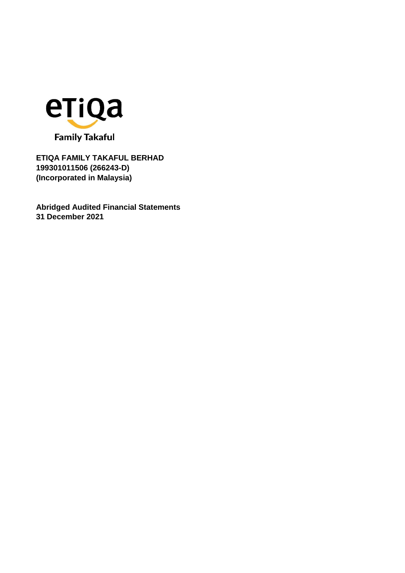

**Abridged Audited Financial Statements 31 December 2021**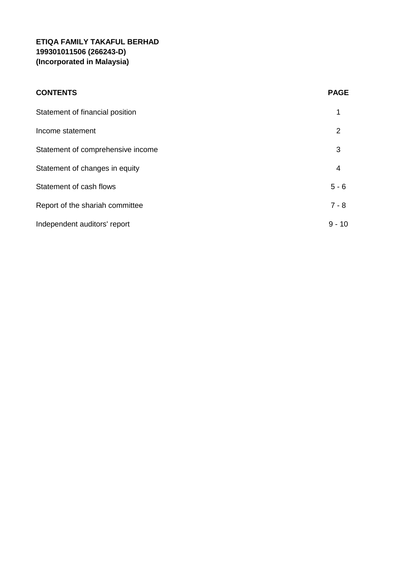| <b>CONTENTS</b>                   | <b>PAGE</b> |
|-----------------------------------|-------------|
| Statement of financial position   | 1           |
| Income statement                  | 2           |
| Statement of comprehensive income | 3           |
| Statement of changes in equity    | 4           |
| Statement of cash flows           | $5 - 6$     |
| Report of the shariah committee   | $7 - 8$     |
| Independent auditors' report      | $9 - 10$    |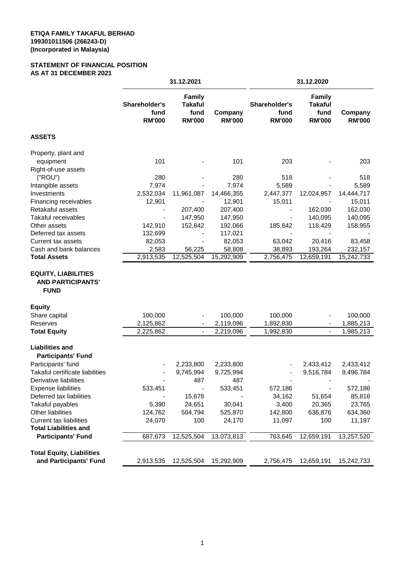#### **STATEMENT OF FINANCIAL POSITION AS AT 31 DECEMBER 2021**

|                                                                       | 31.12.2021                             |                                                          |                          | 31.12.2020                             |                                                          |                          |
|-----------------------------------------------------------------------|----------------------------------------|----------------------------------------------------------|--------------------------|----------------------------------------|----------------------------------------------------------|--------------------------|
|                                                                       | Shareholder's<br>fund<br><b>RM'000</b> | <b>Family</b><br><b>Takaful</b><br>fund<br><b>RM'000</b> | Company<br><b>RM'000</b> | Shareholder's<br>fund<br><b>RM'000</b> | <b>Family</b><br><b>Takaful</b><br>fund<br><b>RM'000</b> | Company<br><b>RM'000</b> |
| <b>ASSETS</b>                                                         |                                        |                                                          |                          |                                        |                                                          |                          |
| Property, plant and                                                   |                                        |                                                          |                          |                                        |                                                          |                          |
| equipment                                                             | 101                                    |                                                          | 101                      | 203                                    |                                                          | 203                      |
| Right-of-use assets                                                   |                                        |                                                          |                          |                                        |                                                          |                          |
| ("ROU")                                                               | 280                                    |                                                          | 280                      | 518                                    |                                                          | 518                      |
| Intangible assets                                                     | 7,974                                  |                                                          | 7,974                    | 5,589                                  |                                                          | 5,589                    |
| Investments                                                           | 2,532,034                              | 11,961,087                                               | 14,466,355               | 2,447,377                              | 12,024,957                                               | 14,444,717               |
| Financing receivables                                                 | 12,901                                 |                                                          | 12,901                   | 15,011                                 |                                                          | 15,011                   |
| Retakaful assets                                                      |                                        | 207,400                                                  | 207,400                  |                                        | 162,030                                                  | 162,030                  |
| Takaful receivables                                                   |                                        | 147,950                                                  | 147,950                  |                                        | 140,095                                                  | 140,095                  |
| Other assets                                                          | 142,910                                | 152,842                                                  | 192,066                  | 185,842                                | 118,429                                                  | 158,955                  |
| Deferred tax assets                                                   | 132,699                                |                                                          | 117,021                  |                                        |                                                          |                          |
| Current tax assets                                                    | 82,053                                 |                                                          | 82,053                   | 63,042                                 | 20,416                                                   | 83,458                   |
| Cash and bank balances                                                | 2,583<br>2,913,535                     | 56,225                                                   | 58,808                   | 38,893                                 | 193,264                                                  | 232,157                  |
| <b>Total Assets</b>                                                   |                                        | 12,525,504                                               | 15,292,909               | 2,756,475                              | 12,659,191                                               | 15,242,733               |
| <b>EQUITY, LIABILITIES</b><br><b>AND PARTICIPANTS'</b><br><b>FUND</b> |                                        |                                                          |                          |                                        |                                                          |                          |
| <b>Equity</b>                                                         |                                        |                                                          |                          |                                        |                                                          |                          |
| Share capital                                                         | 100,000                                |                                                          | 100,000                  | 100,000                                |                                                          | 100,000                  |
| Reserves                                                              | 2,125,862                              |                                                          | 2,119,096                | 1,892,830                              |                                                          | 1,885,213                |
| <b>Total Equity</b>                                                   | 2,225,862                              | $\blacksquare$                                           | 2,219,096                | 1,992,830                              | $\blacksquare$                                           | 1,985,213                |
| <b>Liabilities and</b><br><b>Participants' Fund</b>                   |                                        |                                                          |                          |                                        |                                                          |                          |
| Participants' fund                                                    |                                        | 2,233,800                                                | 2,233,800                |                                        | 2,433,412                                                | 2,433,412                |
| Takaful certificate liabilities                                       |                                        | 9,745,994                                                | 9,725,994                |                                        | 9,516,784                                                | 9,496,784                |
| Derivative liabilities                                                |                                        | 487                                                      | 487                      |                                        |                                                          |                          |
| <b>Expense liabilities</b>                                            | 533,451                                | $\blacksquare$                                           | 533,451                  | 572,186                                | $\qquad \qquad \blacksquare$                             | 572,186                  |
| Deferred tax liabilities                                              |                                        | 15,678                                                   |                          | 34,162                                 | 51,654                                                   | 85,816                   |
| Takaful payables                                                      | 5,390                                  | 24,651                                                   | 30,041                   | 3,400                                  | 20,365                                                   | 23,765                   |
| Other liabilities                                                     | 124,762                                | 504,794                                                  | 525,870                  | 142,800                                | 636,876                                                  | 634,360                  |
| <b>Current tax liabilities</b>                                        | 24,070                                 | 100                                                      | 24,170                   | 11,097                                 | 100                                                      | 11,197                   |
| <b>Total Liabilities and</b>                                          |                                        |                                                          |                          |                                        |                                                          |                          |
| <b>Participants' Fund</b>                                             | 687,673                                | 12,525,504                                               | 13,073,813               | 763,645                                | 12,659,191                                               | 13,257,520               |
| <b>Total Equity, Liabilities</b>                                      |                                        |                                                          |                          |                                        |                                                          |                          |
| and Participants' Fund                                                | 2,913,535                              | 12,525,504                                               | 15,292,909               | 2,756,475                              | 12,659,191                                               | 15,242,733               |
|                                                                       |                                        |                                                          |                          |                                        |                                                          |                          |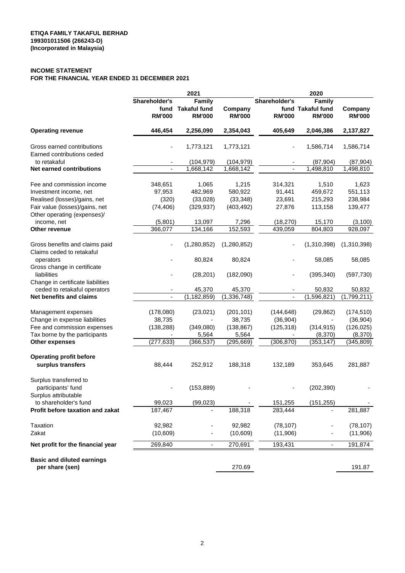### **INCOME STATEMENT**

### **FOR THE FINANCIAL YEAR ENDED 31 DECEMBER 2021**

|                                                                   | 2021           |                          |               | 2020          |                   |               |
|-------------------------------------------------------------------|----------------|--------------------------|---------------|---------------|-------------------|---------------|
|                                                                   | Shareholder's  | <b>Family</b>            |               | Shareholder's | <b>Family</b>     |               |
|                                                                   | fund           | <b>Takaful fund</b>      | Company       |               | fund Takaful fund | Company       |
|                                                                   | <b>RM'000</b>  | <b>RM'000</b>            | <b>RM'000</b> | <b>RM'000</b> | <b>RM'000</b>     | <b>RM'000</b> |
| <b>Operating revenue</b>                                          | 446,454        | 2,256,090                | 2,354,043     | 405,649       | 2,046,386         | 2,137,827     |
| Gross earned contributions                                        |                | 1,773,121                | 1,773,121     |               | 1,586,714         | 1,586,714     |
| Earned contributions ceded                                        |                |                          |               |               |                   |               |
| to retakaful                                                      |                | (104, 979)               | (104, 979)    |               | (87, 904)         | (87, 904)     |
| <b>Net earned contributions</b>                                   |                | 1,668,142                | 1,668,142     |               | 1,498,810         | 1,498,810     |
| Fee and commission income                                         | 348,651        | 1,065                    | 1,215         | 314,321       | 1,510             | 1,623         |
| Investment income, net                                            | 97,953         | 482,969                  | 580,922       | 91,441        | 459,672           | 551,113       |
| Realised (losses)/gains, net                                      | (320)          | (33,028)                 | (33, 348)     | 23,691        | 215,293           | 238,984       |
| Fair value (losses)/gains, net                                    | (74, 406)      | (329, 937)               | (403, 492)    | 27,876        | 113,158           | 139,477       |
| Other operating (expenses)/                                       |                |                          |               |               |                   |               |
| income, net                                                       | (5,801)        | 13,097                   | 7,296         | (18, 270)     | 15,170            | (3, 100)      |
| Other revenue                                                     | 366,077        | 134,166                  | 152,593       | 439,059       | 804,803           | 928,097       |
| Gross benefits and claims paid                                    |                | (1, 280, 852)            | (1, 280, 852) |               | (1,310,398)       | (1,310,398)   |
| Claims ceded to retakaful                                         |                |                          |               |               |                   |               |
| operators                                                         |                | 80,824                   | 80,824        |               | 58,085            | 58,085        |
| Gross change in certificate                                       |                |                          |               |               |                   |               |
| liabilities                                                       |                | (28, 201)                | (182,090)     |               | (395, 340)        | (597, 730)    |
| Change in certificate liabilities<br>ceded to retakaful operators |                | 45,370                   | 45,370        |               | 50,832            | 50,832        |
| Net benefits and claims                                           | $\blacksquare$ | (1, 182, 859)            | (1, 336, 748) |               | (1,596,821)       | (1,799,211)   |
|                                                                   |                |                          |               |               |                   |               |
| Management expenses                                               | (178,080)      | (23, 021)                | (201, 101)    | (144, 648)    | (29, 862)         | (174, 510)    |
| Change in expense liabilities                                     | 38,735         |                          | 38,735        | (36,904)      |                   | (36, 904)     |
| Fee and commission expenses                                       | (138, 288)     | (349,080)                | (138, 867)    | (125, 318)    | (314, 915)        | (126, 025)    |
| Tax borne by the participants                                     |                | 5,564                    | 5,564         |               | (8,370)           | (8,370)       |
| <b>Other expenses</b>                                             | (277, 633)     | (366, 537)               | (295, 669)    | (306, 870)    | (353, 147)        | (345,809)     |
| <b>Operating profit before</b>                                    |                |                          |               |               |                   |               |
| surplus transfers                                                 | 88,444         | 252,912                  | 188,318       | 132,189       | 353,645           | 281,887       |
| Surplus transferred to                                            |                |                          |               |               |                   |               |
| participants' fund                                                |                | (153, 889)               |               |               | (202, 390)        |               |
| Surplus attributable                                              |                |                          |               |               |                   |               |
| to shareholder's fund                                             | 99,023         | (99, 023)                |               | 151,255       | (151, 255)        |               |
| Profit before taxation and zakat                                  | 187,467        |                          | 188,318       | 283,444       |                   | 281,887       |
| Taxation                                                          | 92,982         |                          | 92,982        | (78, 107)     |                   | (78, 107)     |
| Zakat                                                             | (10,609)       |                          | (10, 609)     | (11,906)      |                   | (11,906)      |
| Net profit for the financial year                                 | 269,840        | $\overline{\phantom{a}}$ | 270,691       | 193,431       | ٠                 | 191,874       |
|                                                                   |                |                          |               |               |                   |               |
| <b>Basic and diluted earnings</b><br>per share (sen)              |                |                          | 270.69        |               |                   | 191.87        |
|                                                                   |                |                          |               |               |                   |               |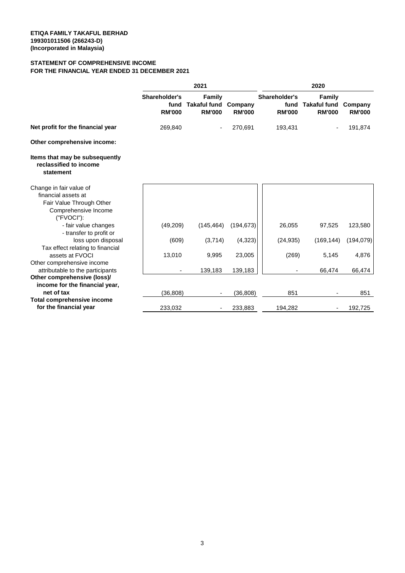#### **STATEMENT OF COMPREHENSIVE INCOME FOR THE FINANCIAL YEAR ENDED 31 DECEMBER 2021**

|                                                                                                                     |                                        | 2021                                           |                          | 2020                                   |                                                |                          |
|---------------------------------------------------------------------------------------------------------------------|----------------------------------------|------------------------------------------------|--------------------------|----------------------------------------|------------------------------------------------|--------------------------|
|                                                                                                                     | Shareholder's<br>fund<br><b>RM'000</b> | Family<br><b>Takaful fund</b><br><b>RM'000</b> | Company<br><b>RM'000</b> | Shareholder's<br>fund<br><b>RM'000</b> | Family<br><b>Takaful fund</b><br><b>RM'000</b> | Company<br><b>RM'000</b> |
| Net profit for the financial year                                                                                   | 269,840                                |                                                | 270,691                  | 193,431                                | $\overline{\phantom{a}}$                       | 191,874                  |
| Other comprehensive income:                                                                                         |                                        |                                                |                          |                                        |                                                |                          |
| Items that may be subsequently<br>reclassified to income<br>statement                                               |                                        |                                                |                          |                                        |                                                |                          |
| Change in fair value of<br>financial assets at<br>Fair Value Through Other<br>Comprehensive Income<br>$('FVOCI')$ : |                                        |                                                |                          |                                        |                                                |                          |
| - fair value changes<br>- transfer to profit or                                                                     | (49,209)                               | (145, 464)                                     | (194, 673)               | 26,055                                 | 97,525                                         | 123,580                  |
| loss upon disposal<br>Tax effect relating to financial                                                              | (609)                                  | (3,714)                                        | (4,323)                  | (24, 935)                              | (169, 144)                                     | (194, 079)               |
| assets at FVOCI<br>Other comprehensive income                                                                       | 13,010                                 | 9,995                                          | 23,005                   | (269)                                  | 5,145                                          | 4,876                    |
| attributable to the participants                                                                                    |                                        | 139,183                                        | 139,183                  |                                        | 66,474                                         | 66,474                   |
| Other comprehensive (loss)/<br>income for the financial year,                                                       |                                        |                                                |                          |                                        |                                                |                          |
| net of tax                                                                                                          | (36, 808)                              | $\blacksquare$                                 | (36, 808)                | 851                                    |                                                | 851                      |
| <b>Total comprehensive income</b><br>for the financial year                                                         | 233,032                                |                                                | 233,883                  | 194,282                                |                                                | 192,725                  |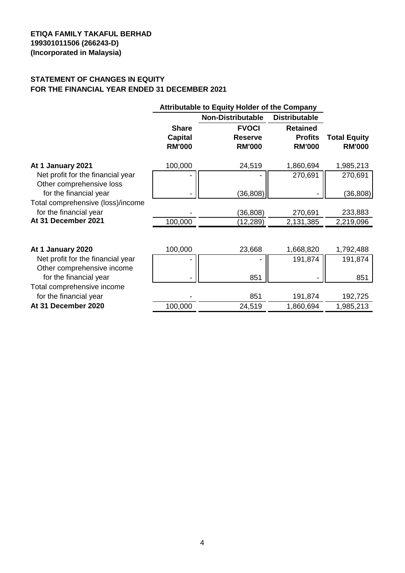# **STATEMENT OF CHANGES IN EQUITY FOR THE FINANCIAL YEAR ENDED 31 DECEMBER 2021**

|                                   | <b>Attributable to Equity Holder of the Company</b> |                          |                      |                     |
|-----------------------------------|-----------------------------------------------------|--------------------------|----------------------|---------------------|
|                                   |                                                     | <b>Non-Distributable</b> | <b>Distributable</b> |                     |
|                                   | <b>Share</b>                                        | <b>FVOCI</b>             | <b>Retained</b>      |                     |
|                                   | <b>Capital</b>                                      | <b>Reserve</b>           | <b>Profits</b>       | <b>Total Equity</b> |
|                                   | <b>RM'000</b>                                       | <b>RM'000</b>            | <b>RM'000</b>        | <b>RM'000</b>       |
| At 1 January 2021                 | 100,000                                             | 24,519                   | 1,860,694            | 1,985,213           |
| Net profit for the financial year |                                                     |                          | 270,691              | 270,691             |
| Other comprehensive loss          |                                                     |                          |                      |                     |
| for the financial year            |                                                     | (36, 808)                |                      | (36, 808)           |
| Total comprehensive (loss)/income |                                                     |                          |                      |                     |
| for the financial year            |                                                     | (36, 808)                | 270,691              | 233,883             |
| At 31 December 2021               | 100,000                                             | (12,289)                 | 2,131,385            | 2,219,096           |
|                                   |                                                     |                          |                      |                     |
| At 1 January 2020                 | 100,000                                             | 23,668                   | 1,668,820            | 1,792,488           |
| Net profit for the financial year |                                                     |                          | 191,874              | 191,874             |
| Other comprehensive income        |                                                     |                          |                      |                     |
| for the financial year            |                                                     | 851                      |                      | 851                 |
| Total comprehensive income        |                                                     |                          |                      |                     |
| for the financial year            |                                                     | 851                      | 191,874              | 192,725             |
| At 31 December 2020               | 100,000                                             | 24,519                   | 1,860,694            | 1,985,213           |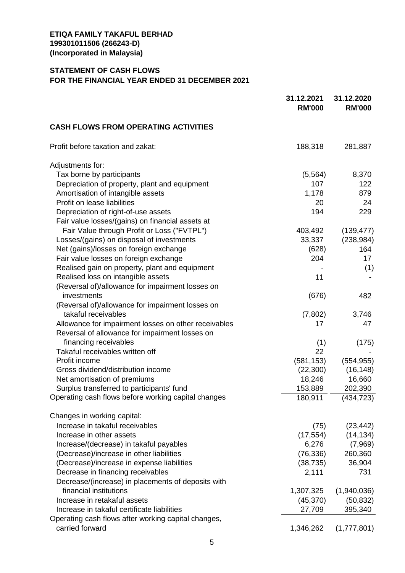# **STATEMENT OF CASH FLOWS FOR THE FINANCIAL YEAR ENDED 31 DECEMBER 2021**

|                                                      | 31.12.2021<br><b>RM'000</b> | 31.12.2020<br><b>RM'000</b> |
|------------------------------------------------------|-----------------------------|-----------------------------|
| <b>CASH FLOWS FROM OPERATING ACTIVITIES</b>          |                             |                             |
| Profit before taxation and zakat:                    | 188,318                     | 281,887                     |
| Adjustments for:                                     |                             |                             |
| Tax borne by participants                            | (5, 564)                    | 8,370                       |
| Depreciation of property, plant and equipment        | 107                         | 122                         |
| Amortisation of intangible assets                    | 1,178                       | 879                         |
| Profit on lease liabilities                          | 20                          | 24                          |
| Depreciation of right-of-use assets                  | 194                         | 229                         |
| Fair value losses/(gains) on financial assets at     |                             |                             |
| Fair Value through Profit or Loss ("FVTPL")          | 403,492                     | (139, 477)                  |
| Losses/(gains) on disposal of investments            | 33,337                      | (238, 984)                  |
| Net (gains)/losses on foreign exchange               | (628)                       | 164                         |
| Fair value losses on foreign exchange                | 204                         | 17                          |
| Realised gain on property, plant and equipment       |                             | (1)                         |
| Realised loss on intangible assets                   | 11                          |                             |
| (Reversal of)/allowance for impairment losses on     |                             |                             |
| investments                                          | (676)                       | 482                         |
| (Reversal of)/allowance for impairment losses on     |                             |                             |
| takaful receivables                                  | (7,802)                     | 3,746                       |
| Allowance for impairment losses on other receivables | 17                          | 47                          |
| Reversal of allowance for impairment losses on       |                             |                             |
| financing receivables                                | (1)                         | (175)                       |
| Takaful receivables written off                      | 22                          |                             |
| Profit income                                        | (581, 153)                  | (554, 955)                  |
| Gross dividend/distribution income                   | (22, 300)                   | (16, 148)                   |
| Net amortisation of premiums                         | 18,246                      | 16,660                      |
| Surplus transferred to participants' fund            | 153,889                     | 202,390                     |
| Operating cash flows before working capital changes  | 180,911                     | (434, 723)                  |
| Changes in working capital:                          |                             |                             |
| Increase in takaful receivables                      | (75)                        | (23, 442)                   |
| Increase in other assets                             | (17, 554)                   | (14, 134)                   |
| Increase/(decrease) in takaful payables              | 6,276                       | (7,969)                     |
| (Decrease)/increase in other liabilities             | (76, 336)                   | 260,360                     |
| (Decrease)/increase in expense liabilities           | (38, 735)                   | 36,904                      |
| Decrease in financing receivables                    | 2,111                       | 731                         |
| Decrease/(increase) in placements of deposits with   |                             |                             |
| financial institutions                               | 1,307,325                   | (1,940,036)                 |
| Increase in retakaful assets                         | (45, 370)                   | (50, 832)                   |
| Increase in takaful certificate liabilities          | 27,709                      | 395,340                     |
| Operating cash flows after working capital changes,  |                             |                             |
| carried forward                                      | 1,346,262                   | (1,777,801)                 |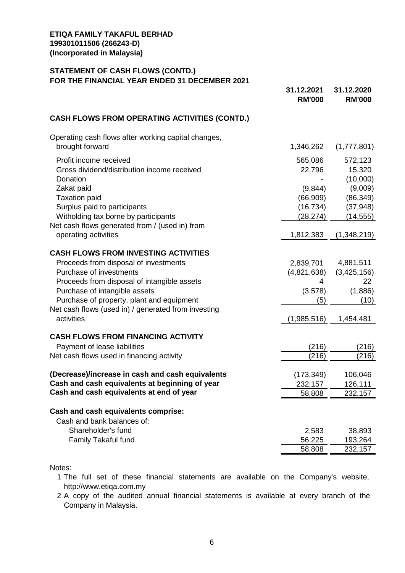### **STATEMENT OF CASH FLOWS (CONTD.) FOR THE FINANCIAL YEAR ENDED 31 DECEMBER 2021**

|                                                                                            | 31.12.2021<br><b>RM'000</b> | 31.12.2020<br><b>RM'000</b> |
|--------------------------------------------------------------------------------------------|-----------------------------|-----------------------------|
| <b>CASH FLOWS FROM OPERATING ACTIVITIES (CONTD.)</b>                                       |                             |                             |
| Operating cash flows after working capital changes,                                        |                             |                             |
| brought forward                                                                            | 1,346,262                   | (1,777,801)                 |
| Profit income received                                                                     | 565,086                     | 572,123                     |
| Gross dividend/distribution income received                                                | 22,796                      | 15,320                      |
| Donation                                                                                   |                             | (10,000)                    |
| Zakat paid                                                                                 | (9,844)                     | (9,009)                     |
| <b>Taxation paid</b>                                                                       | (66, 909)                   | (86, 349)                   |
| Surplus paid to participants                                                               | (16, 734)                   | (37, 948)                   |
| Witholding tax borne by participants                                                       | (28, 274)                   | (14, 555)                   |
| Net cash flows generated from / (used in) from                                             |                             |                             |
| operating activities                                                                       | 1,812,383                   | (1,348,219)                 |
| <b>CASH FLOWS FROM INVESTING ACTIVITIES</b>                                                |                             |                             |
| Proceeds from disposal of investments                                                      | 2,839,701                   | 4,881,511                   |
| Purchase of investments                                                                    | (4,821,638)                 | (3,425,156)                 |
| Proceeds from disposal of intangible assets                                                | 4                           | 22                          |
| Purchase of intangible assets                                                              | (3,578)                     | (1,886)                     |
| Purchase of property, plant and equipment                                                  | (5)                         | (10)                        |
| Net cash flows (used in) / generated from investing                                        |                             |                             |
| activities                                                                                 | (1,985,516)                 | 1,454,481                   |
| <b>CASH FLOWS FROM FINANCING ACTIVITY</b>                                                  |                             |                             |
| Payment of lease liabilities                                                               | (216)                       | (216)                       |
| Net cash flows used in financing activity                                                  | (216)                       | (216)                       |
|                                                                                            |                             |                             |
| (Decrease)/increase in cash and cash equivalents                                           | (173, 349)                  | 106,046                     |
| Cash and cash equivalents at beginning of year<br>Cash and cash equivalents at end of year | 232,157                     | 126,111                     |
|                                                                                            | 58,808                      | 232,157                     |
| Cash and cash equivalents comprise:                                                        |                             |                             |
| Cash and bank balances of:                                                                 |                             |                             |
| Shareholder's fund                                                                         | 2,583                       | 38,893                      |
| Family Takaful fund                                                                        | 56,225                      | 193,264                     |
|                                                                                            | 58,808                      | 232,157                     |

Notes:

1 The full set of these financial statements are available on the Company's website, http://www.etiqa.com.my

2 A copy of the audited annual financial statements is available at every branch of the Company in Malaysia.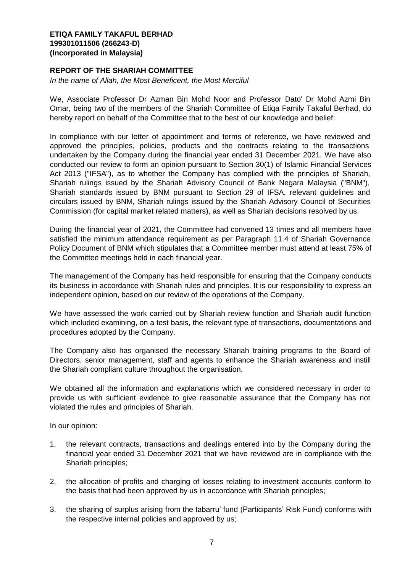### **REPORT OF THE SHARIAH COMMITTEE**

*In the name of Allah, the Most Beneficent, the Most Merciful*

We, Associate Professor Dr Azman Bin Mohd Noor and Professor Dato' Dr Mohd Azmi Bin Omar, being two of the members of the Shariah Committee of Etiqa Family Takaful Berhad, do hereby report on behalf of the Committee that to the best of our knowledge and belief:

In compliance with our letter of appointment and terms of reference, we have reviewed and approved the principles, policies, products and the contracts relating to the transactions undertaken by the Company during the financial year ended 31 December 2021. We have also conducted our review to form an opinion pursuant to Section 30(1) of Islamic Financial Services Act 2013 ("IFSA"), as to whether the Company has complied with the principles of Shariah, Shariah rulings issued by the Shariah Advisory Council of Bank Negara Malaysia ("BNM"), Shariah standards issued by BNM pursuant to Section 29 of IFSA, relevant guidelines and circulars issued by BNM, Shariah rulings issued by the Shariah Advisory Council of Securities Commission (for capital market related matters), as well as Shariah decisions resolved by us.

During the financial year of 2021, the Committee had convened 13 times and all members have satisfied the minimum attendance requirement as per Paragraph 11.4 of Shariah Governance Policy Document of BNM which stipulates that a Committee member must attend at least 75% of the Committee meetings held in each financial year.

The management of the Company has held responsible for ensuring that the Company conducts its business in accordance with Shariah rules and principles. It is our responsibility to express an independent opinion, based on our review of the operations of the Company.

We have assessed the work carried out by Shariah review function and Shariah audit function which included examining, on a test basis, the relevant type of transactions, documentations and procedures adopted by the Company.

The Company also has organised the necessary Shariah training programs to the Board of Directors, senior management, staff and agents to enhance the Shariah awareness and instill the Shariah compliant culture throughout the organisation.

We obtained all the information and explanations which we considered necessary in order to provide us with sufficient evidence to give reasonable assurance that the Company has not violated the rules and principles of Shariah.

In our opinion:

- 1. the relevant contracts, transactions and dealings entered into by the Company during the financial year ended 31 December 2021 that we have reviewed are in compliance with the Shariah principles;
- 2. the allocation of profits and charging of losses relating to investment accounts conform to the basis that had been approved by us in accordance with Shariah principles;
- 3. the sharing of surplus arising from the tabarru' fund (Participants' Risk Fund) conforms with the respective internal policies and approved by us;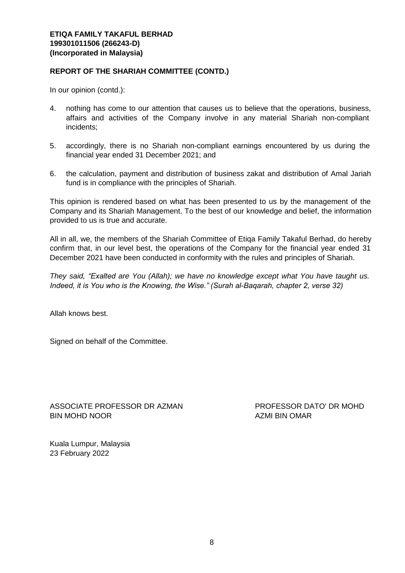### **REPORT OF THE SHARIAH COMMITTEE (CONTD.)**

In our opinion (contd.):

- 4. nothing has come to our attention that causes us to believe that the operations, business, affairs and activities of the Company involve in any material Shariah non-compliant incidents;
- 5. accordingly, there is no Shariah non-compliant earnings encountered by us during the financial year ended 31 December 2021; and
- 6. the calculation, payment and distribution of business zakat and distribution of Amal Jariah fund is in compliance with the principles of Shariah.

This opinion is rendered based on what has been presented to us by the management of the Company and its Shariah Management. To the best of our knowledge and belief, the information provided to us is true and accurate.

All in all, we, the members of the Shariah Committee of Etiqa Family Takaful Berhad, do hereby confirm that, in our level best, the operations of the Company for the financial year ended 31 December 2021 have been conducted in conformity with the rules and principles of Shariah.

*They said, "Exalted are You (Allah); we have no knowledge except what You have taught us. Indeed, it is You who is the Knowing, the Wise." (Surah al-Baqarah, chapter 2, verse 32)*

Allah knows best.

Signed on behalf of the Committee.

ASSOCIATE PROFESSOR DR AZMAN BIN MOHD NOOR

PROFESSOR DATO' DR MOHD AZMI BIN OMAR

Kuala Lumpur, Malaysia 23 February 2022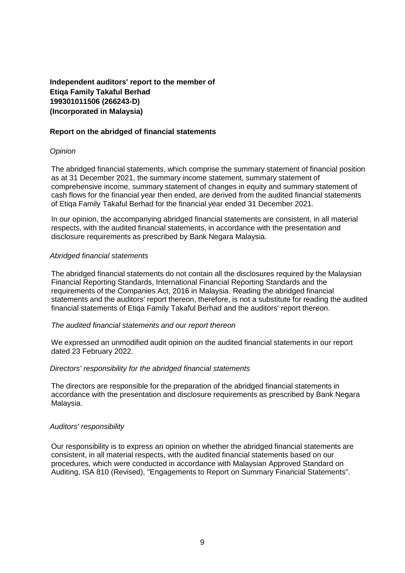**Independent auditors' report to the member of Etiqa Family Takaful Berhad 199301011506 (266243-D) (Incorporated in Malaysia)**

### **Report on the abridged of financial statements**

### *Opinion*

The abridged financial statements, which comprise the summary statement of financial position as at 31 December 2021, the summary income statement, summary statement of comprehensive income, summary statement of changes in equity and summary statement of cash flows for the financial year then ended, are derived from the audited financial statements of Etiqa Family Takaful Berhad for the financial year ended 31 December 2021.

In our opinion, the accompanying abridged financial statements are consistent, in all material respects, with the audited financial statements, in accordance with the presentation and disclosure requirements as prescribed by Bank Negara Malaysia.

#### *Abridged financial statements*

The abridged financial statements do not contain all the disclosures required by the Malaysian Financial Reporting Standards, International Financial Reporting Standards and the requirements of the Companies Act, 2016 in Malaysia. Reading the abridged financial statements and the auditors' report thereon, therefore, is not a substitute for reading the audited financial statements of Etiqa Family Takaful Berhad and the auditors' report thereon.

#### *The audited financial statements and our report thereon*

We expressed an unmodified audit opinion on the audited financial statements in our report dated 23 February 2022.

#### *Directors' responsibility for the abridged financial statements*

The directors are responsible for the preparation of the abridged financial statements in accordance with the presentation and disclosure requirements as prescribed by Bank Negara Malaysia.

#### *Auditors' responsibility*

Our responsibility is to express an opinion on whether the abridged financial statements are consistent, in all material respects, with the audited financial statements based on our procedures, which were conducted in accordance with Malaysian Approved Standard on Auditing, ISA 810 (Revised), "Engagements to Report on Summary Financial Statements".